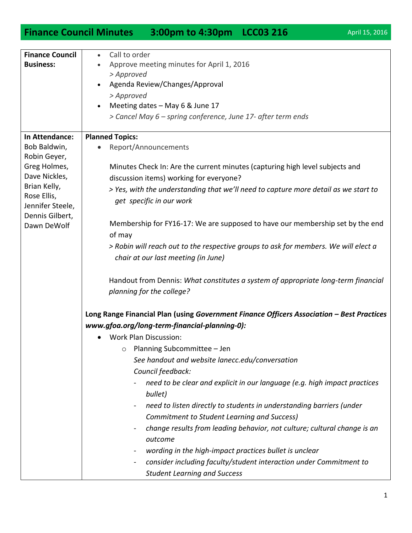## **Finance Council Minutes 3:00pm to 4:30pm LCC03 216** April 15, 2016

| <b>Finance Council</b> | Call to order<br>$\bullet$                                                                 |
|------------------------|--------------------------------------------------------------------------------------------|
| <b>Business:</b>       | Approve meeting minutes for April 1, 2016                                                  |
|                        | > Approved                                                                                 |
|                        | Agenda Review/Changes/Approval                                                             |
|                        | > Approved                                                                                 |
|                        | Meeting dates - May 6 & June 17                                                            |
|                        | > Cancel May 6 – spring conference, June 17- after term ends                               |
|                        |                                                                                            |
| In Attendance:         | <b>Planned Topics:</b>                                                                     |
| Bob Baldwin,           | Report/Announcements                                                                       |
| Robin Geyer,           |                                                                                            |
| Greg Holmes,           | Minutes Check In: Are the current minutes (capturing high level subjects and               |
| Dave Nickles,          | discussion items) working for everyone?                                                    |
| Brian Kelly,           | > Yes, with the understanding that we'll need to capture more detail as we start to        |
| Rose Ellis,            | get specific in our work                                                                   |
| Jennifer Steele,       |                                                                                            |
| Dennis Gilbert,        |                                                                                            |
| Dawn DeWolf            | Membership for FY16-17: We are supposed to have our membership set by the end              |
|                        | of may                                                                                     |
|                        | > Robin will reach out to the respective groups to ask for members. We will elect a        |
|                        | chair at our last meeting (in June)                                                        |
|                        |                                                                                            |
|                        | Handout from Dennis: What constitutes a system of appropriate long-term financial          |
|                        | planning for the college?                                                                  |
|                        |                                                                                            |
|                        | Long Range Financial Plan (using Government Finance Officers Association - Best Practices  |
|                        | www.gfoa.org/long-term-financial-planning-0):                                              |
|                        |                                                                                            |
|                        | <b>Work Plan Discussion:</b>                                                               |
|                        | $\circ$ Planning Subcommittee - Jen                                                        |
|                        | See handout and website lanecc.edu/conversation                                            |
|                        | Council feedback:                                                                          |
|                        | need to be clear and explicit in our language (e.g. high impact practices                  |
|                        | bullet)                                                                                    |
|                        | need to listen directly to students in understanding barriers (under<br>$\blacksquare$     |
|                        | Commitment to Student Learning and Success)                                                |
|                        | change results from leading behavior, not culture; cultural change is an<br>$\blacksquare$ |
|                        | outcome                                                                                    |
|                        |                                                                                            |
|                        | wording in the high-impact practices bullet is unclear                                     |
|                        | consider including faculty/student interaction under Commitment to<br>$\blacksquare$       |
|                        | <b>Student Learning and Success</b>                                                        |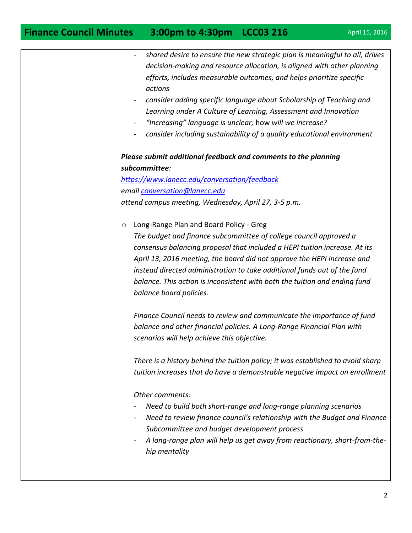| shared desire to ensure the new strategic plan is meaningful to all, drives<br>$\qquad \qquad \blacksquare$<br>decision-making and resource allocation, is aligned with other planning<br>efforts, includes measurable outcomes, and helps prioritize specific<br>actions<br>consider adding specific language about Scholarship of Teaching and<br>Learning under A Culture of Learning, Assessment and Innovation<br>"Increasing" language is unclear; how will we increase?<br>$\blacksquare$<br>consider including sustainability of a quality educational environment |
|----------------------------------------------------------------------------------------------------------------------------------------------------------------------------------------------------------------------------------------------------------------------------------------------------------------------------------------------------------------------------------------------------------------------------------------------------------------------------------------------------------------------------------------------------------------------------|
| Please submit additional feedback and comments to the planning                                                                                                                                                                                                                                                                                                                                                                                                                                                                                                             |
| subcommittee:                                                                                                                                                                                                                                                                                                                                                                                                                                                                                                                                                              |
| https://www.lanecc.edu/conversation/feedback                                                                                                                                                                                                                                                                                                                                                                                                                                                                                                                               |
| email conversation@lanecc.edu                                                                                                                                                                                                                                                                                                                                                                                                                                                                                                                                              |
| attend campus meeting, Wednesday, April 27, 3-5 p.m.                                                                                                                                                                                                                                                                                                                                                                                                                                                                                                                       |
|                                                                                                                                                                                                                                                                                                                                                                                                                                                                                                                                                                            |
| Long-Range Plan and Board Policy - Greg<br>$\circ$<br>The budget and finance subcommittee of college council approved a                                                                                                                                                                                                                                                                                                                                                                                                                                                    |
| consensus balancing proposal that included a HEPI tuition increase. At its                                                                                                                                                                                                                                                                                                                                                                                                                                                                                                 |
| April 13, 2016 meeting, the board did not approve the HEPI increase and                                                                                                                                                                                                                                                                                                                                                                                                                                                                                                    |
| instead directed administration to take additional funds out of the fund                                                                                                                                                                                                                                                                                                                                                                                                                                                                                                   |
| balance. This action is inconsistent with both the tuition and ending fund                                                                                                                                                                                                                                                                                                                                                                                                                                                                                                 |
| balance board policies.                                                                                                                                                                                                                                                                                                                                                                                                                                                                                                                                                    |
|                                                                                                                                                                                                                                                                                                                                                                                                                                                                                                                                                                            |
| Finance Council needs to review and communicate the importance of fund                                                                                                                                                                                                                                                                                                                                                                                                                                                                                                     |
| balance and other financial policies. A Long-Range Financial Plan with                                                                                                                                                                                                                                                                                                                                                                                                                                                                                                     |
| scenarios will help achieve this objective.                                                                                                                                                                                                                                                                                                                                                                                                                                                                                                                                |
| There is a history behind the tuition policy; it was established to avoid sharp                                                                                                                                                                                                                                                                                                                                                                                                                                                                                            |
| tuition increases that do have a demonstrable negative impact on enrollment                                                                                                                                                                                                                                                                                                                                                                                                                                                                                                |
|                                                                                                                                                                                                                                                                                                                                                                                                                                                                                                                                                                            |
| Other comments:                                                                                                                                                                                                                                                                                                                                                                                                                                                                                                                                                            |
| Need to build both short-range and long-range planning scenarios                                                                                                                                                                                                                                                                                                                                                                                                                                                                                                           |
| Need to review finance council's relationship with the Budget and Finance                                                                                                                                                                                                                                                                                                                                                                                                                                                                                                  |
| Subcommittee and budget development process                                                                                                                                                                                                                                                                                                                                                                                                                                                                                                                                |
| A long-range plan will help us get away from reactionary, short-from-the-                                                                                                                                                                                                                                                                                                                                                                                                                                                                                                  |
| hip mentality                                                                                                                                                                                                                                                                                                                                                                                                                                                                                                                                                              |
|                                                                                                                                                                                                                                                                                                                                                                                                                                                                                                                                                                            |
|                                                                                                                                                                                                                                                                                                                                                                                                                                                                                                                                                                            |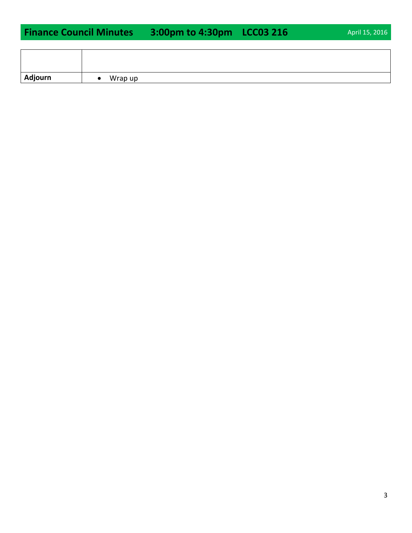| Adjourn | Wrap up<br>$\bullet$ |
|---------|----------------------|